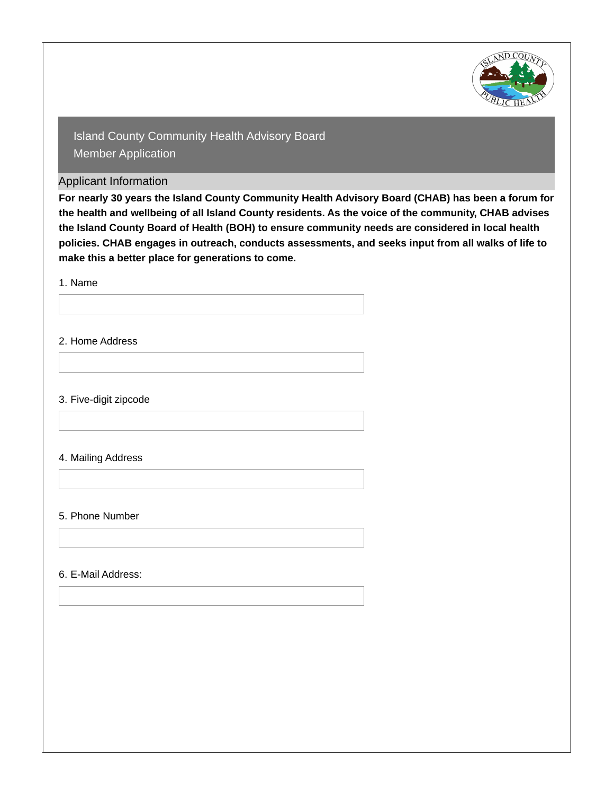

Applicant Information

**For nearly 30 years the Island County Community Health Advisory Board (CHAB) has been a forum for the health and wellbeing of all Island County residents. As the voice of the community, CHAB advises the Island County Board of Health (BOH) to ensure community needs are considered in local health policies. CHAB engages in outreach, conducts assessments, and seeks input from all walks of life to make this a better place for generations to come.**

1. Name

2. Home Address

3. Five-digit zipcode

4. Mailing Address

#### 5. Phone Number

6. E-Mail Address: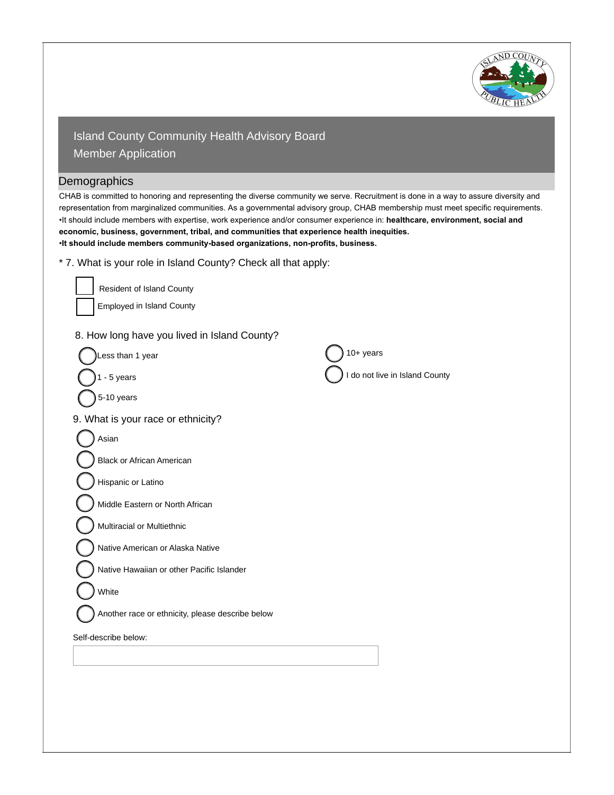

#### **Demographics**

CHAB is committed to honoring and representing the diverse community we serve. Recruitment is done in a way to assure diversity and representation from marginalized communities. As a governmental advisory group, CHAB membership must meet specific requirements. •It should include members with expertise, work experience and/or consumer experience in: **healthcare, environment, social and economic, business, government, tribal, and communities that experience health inequities.** •**It should include members community-based organizations, non-profits, business.**

\* 7. What is your role in Island County? Check all that apply:

| Resident of Island County                        |                                |
|--------------------------------------------------|--------------------------------|
| <b>Employed in Island County</b>                 |                                |
| 8. How long have you lived in Island County?     |                                |
| Less than 1 year                                 | $10+$ years                    |
| $1 - 5$ years                                    | I do not live in Island County |
| 5-10 years                                       |                                |
| 9. What is your race or ethnicity?               |                                |
| Asian                                            |                                |
| <b>Black or African American</b>                 |                                |
| Hispanic or Latino                               |                                |
| Middle Eastern or North African                  |                                |
| Multiracial or Multiethnic                       |                                |
| Native American or Alaska Native                 |                                |
| Native Hawaiian or other Pacific Islander        |                                |
| White                                            |                                |
| Another race or ethnicity, please describe below |                                |
| Self-describe below:                             |                                |
|                                                  |                                |
|                                                  |                                |
|                                                  |                                |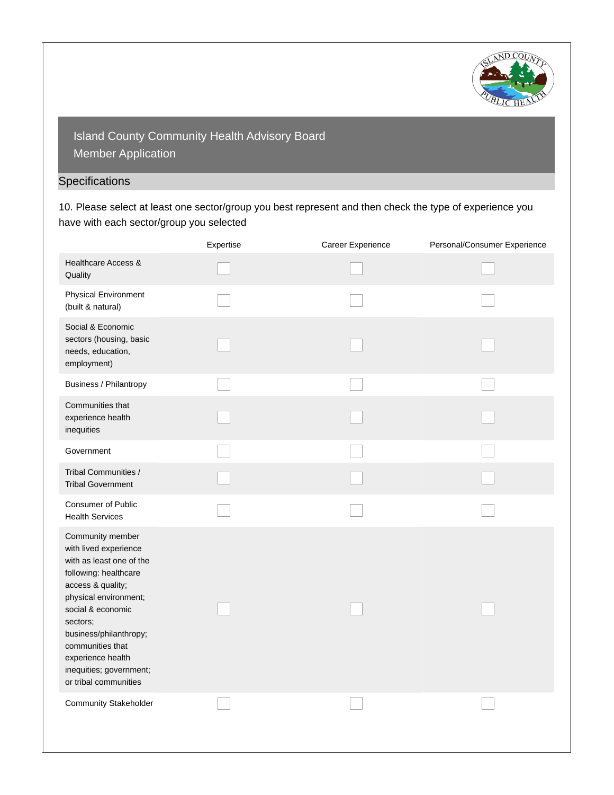

# **Specifications**

10. Please select at least one sector/group you best represent and then check the type of experience you have with each sector/group you selected

|                                                                                                                                                                                                                                                                                                      | Expertise | Career Experience | Personal/Consumer Experience |
|------------------------------------------------------------------------------------------------------------------------------------------------------------------------------------------------------------------------------------------------------------------------------------------------------|-----------|-------------------|------------------------------|
| Healthcare Access &<br>Quality                                                                                                                                                                                                                                                                       |           |                   |                              |
| <b>Physical Environment</b><br>(built & natural)                                                                                                                                                                                                                                                     |           |                   |                              |
| Social & Economic<br>sectors (housing, basic<br>needs, education,<br>employment)                                                                                                                                                                                                                     |           |                   |                              |
| <b>Business / Philantropy</b>                                                                                                                                                                                                                                                                        |           |                   |                              |
| Communities that<br>experience health<br>inequities                                                                                                                                                                                                                                                  |           |                   |                              |
| Government                                                                                                                                                                                                                                                                                           |           |                   |                              |
| Tribal Communities /<br><b>Tribal Government</b>                                                                                                                                                                                                                                                     |           |                   |                              |
| <b>Consumer of Public</b><br><b>Health Services</b>                                                                                                                                                                                                                                                  |           |                   |                              |
| Community member<br>with lived experience<br>with as least one of the<br>following: healthcare<br>access & quality;<br>physical environment;<br>social & economic<br>sectors;<br>business/philanthropy;<br>communities that<br>experience health<br>inequities; government;<br>or tribal communities |           |                   |                              |
| <b>Community Stakeholder</b>                                                                                                                                                                                                                                                                         |           |                   |                              |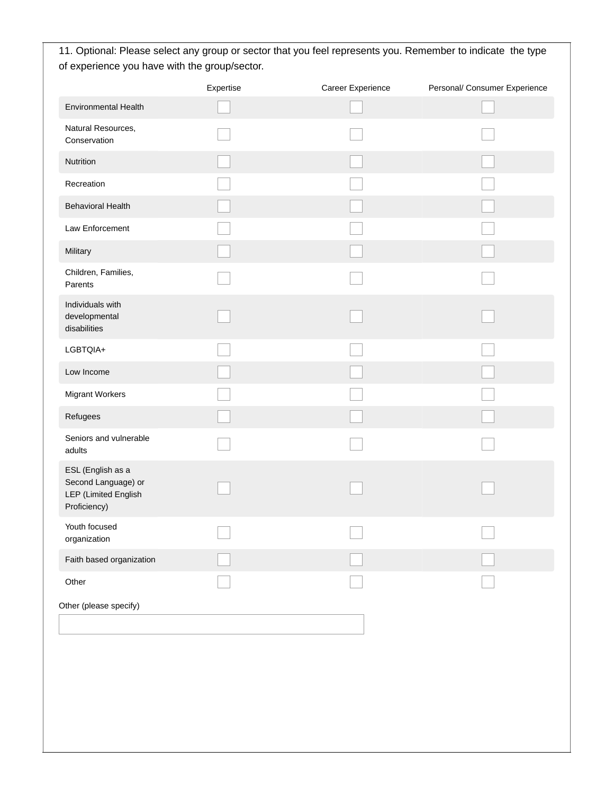11. Optional: Please select any group or sector that you feel represents you. Remember to indicate the type of experience you have with the group/sector.

|                                                                                  | Expertise      | Career Experience        | Personal/ Consumer Experience |
|----------------------------------------------------------------------------------|----------------|--------------------------|-------------------------------|
| <b>Environmental Health</b>                                                      |                |                          |                               |
| Natural Resources,<br>Conservation                                               |                |                          |                               |
| Nutrition                                                                        |                |                          |                               |
| Recreation                                                                       |                |                          |                               |
| <b>Behavioral Health</b>                                                         |                |                          |                               |
| Law Enforcement                                                                  |                |                          |                               |
| Military                                                                         |                |                          |                               |
| Children, Families,<br>Parents                                                   |                |                          |                               |
| Individuals with<br>developmental<br>disabilities                                |                |                          |                               |
| LGBTQIA+                                                                         |                |                          |                               |
| Low Income                                                                       |                |                          |                               |
| <b>Migrant Workers</b>                                                           |                |                          |                               |
| Refugees                                                                         |                |                          |                               |
| Seniors and vulnerable<br>adults                                                 |                |                          |                               |
| ESL (English as a<br>Second Language) or<br>LEP (Limited English<br>Proficiency) |                |                          |                               |
| Youth focused<br>organization                                                    | $\overline{ }$ | $\overline{\phantom{0}}$ | $\overline{ }$                |
| Faith based organization                                                         |                |                          |                               |
| Other                                                                            |                |                          |                               |
| Other (please specify)                                                           |                |                          |                               |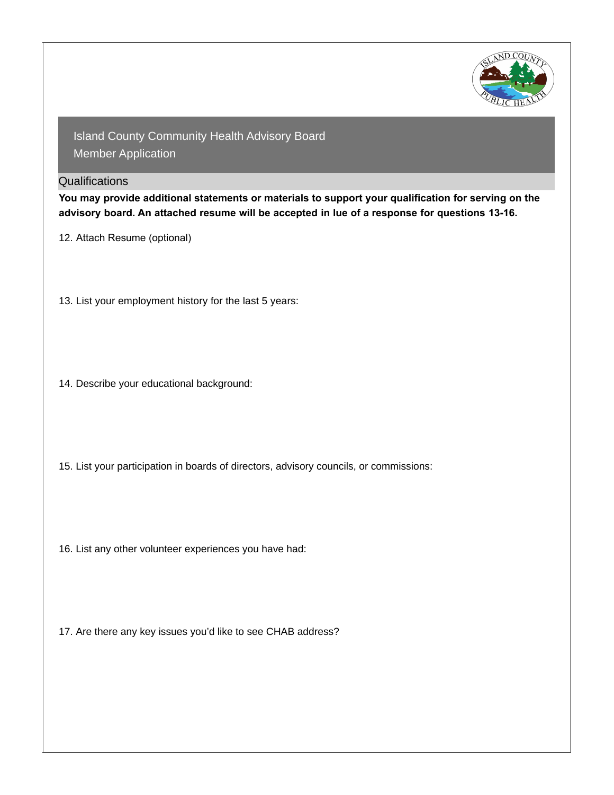

### **Qualifications**

**You may provide additional statements or materials to support your qualification for serving on the advisory board. An attached resume will be accepted in lue of a response for questions 13-16.**

12. Attach Resume (optional)

- 13. List your employment history for the last 5 years:
- 14. Describe your educational background:
- 15. List your participation in boards of directors, advisory councils, or commissions:
- 16. List any other volunteer experiences you have had:
- 17. Are there any key issues you'd like to see CHAB address?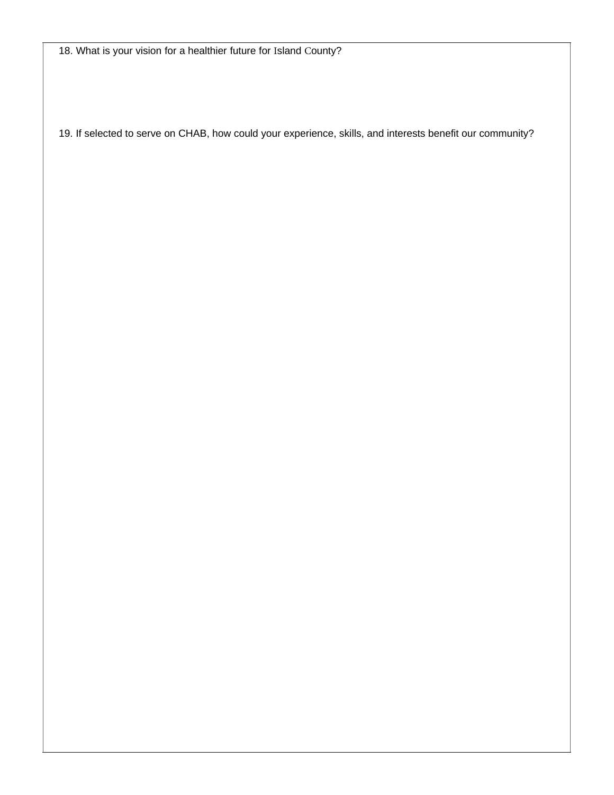18. What is your vision for a healthier future for Island County?

19. If selected to serve on CHAB, how could your experience, skills, and interests benefit our community?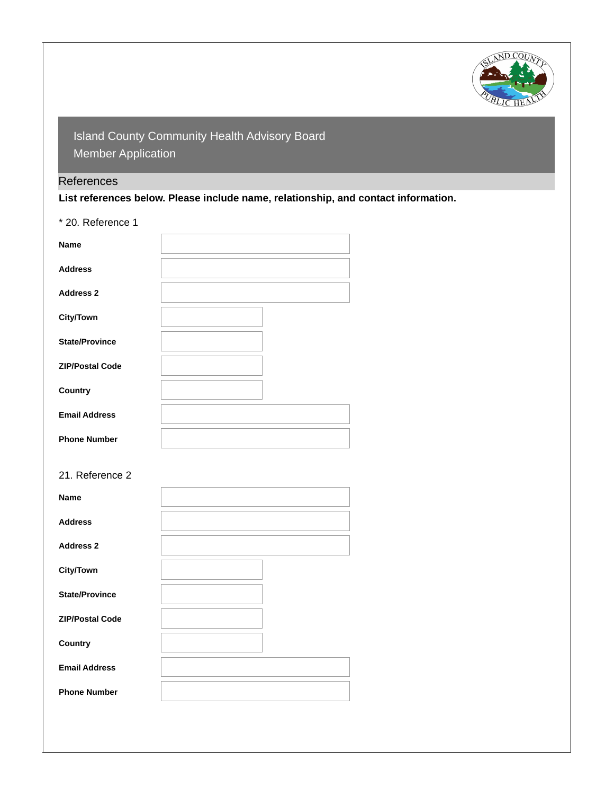

## **References**

**List references below. Please include name, relationship, and contact information.**

\* 20. Reference 1

| <b>Name</b>            |  |
|------------------------|--|
| <b>Address</b>         |  |
| <b>Address 2</b>       |  |
| <b>City/Town</b>       |  |
| <b>State/Province</b>  |  |
| <b>ZIP/Postal Code</b> |  |
| Country                |  |
| <b>Email Address</b>   |  |
| <b>Phone Number</b>    |  |
| 21. Reference 2        |  |
| Name                   |  |
| <b>Address</b>         |  |
| <b>Address 2</b>       |  |
| <b>City/Town</b>       |  |
| <b>State/Province</b>  |  |
| <b>ZIP/Postal Code</b> |  |
| Country                |  |
| <b>Email Address</b>   |  |
| <b>Phone Number</b>    |  |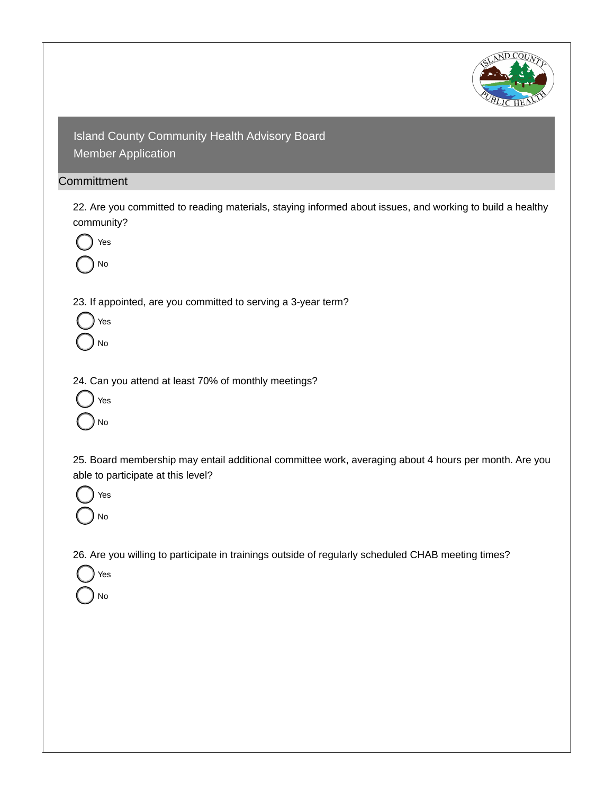

### **Committment**

22. Are you committed to reading materials, staying informed about issues, and working to build a healthy community?



23. If appointed, are you committed to serving a 3-year term?



24. Can you attend at least 70% of monthly meetings?



25. Board membership may entail additional committee work, averaging about 4 hours per month. Are you able to participate at this level?



Yes

No

26. Are you willing to participate in trainings outside of regularly scheduled CHAB meeting times?